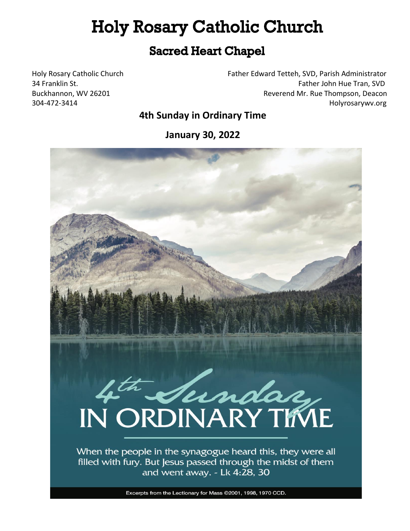# **Holy Rosary Catholic Church**

# **Sacred Heart Chapel**

Holy Rosary Catholic Church Father Edward Tetteh, SVD, Parish Administrator 34 Franklin St. **Father John Hue Tran, SVD** Buckhannon, WV 26201 Reverend Mr. Rue Thompson, Deacon 304-472-3414 Holyrosarywv.org

# **4th Sunday in Ordinary Time**

**January 30, 2022**

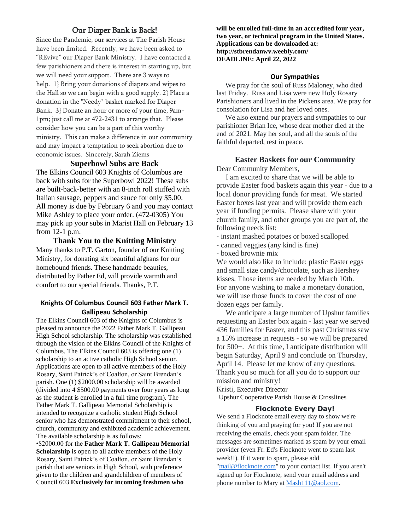### Our Diaper Bank is Back!

Since the Pandemic, our services at The Parish House have been limited. Recently, we have been asked to "REvive" our Diaper Bank Ministry. I have contacted a few parishioners and there is interest in starting up, but we will need your support. There are 3 ways to help. 1} Bring your donations of diapers and wipes to the Hall so we can begin with a good supply. 2} Place a donation in the "Needy" basket marked for Diaper Bank. 3} Donate an hour or more of your time, 9am-1pm; just call me at 472-2431 to arrange that. Please consider how you can be a part of this worthy ministry. This can make a difference in our community and may impact a temptation to seek abortion due to economic issues. Sincerely, Sarah Ziems

#### **Superbowl Subs are Back**

The Elkins Council 603 Knights of Columbus are back with subs for the Superbowl 2022! These subs are built-back-better with an 8-inch roll stuffed with Italian sausage, peppers and sauce for only \$5.00. All money is due by February 6 and you may contact Mike Ashley to place your order. (472-0305) You may pick up your subs in Marist Hall on February 13 from 12-1 p.m.

**Thank You to the Knitting Ministry** Many thanks to P.T. Garton, founder of our Knitting Ministry, for donating six beautiful afghans for our homebound friends. These handmade beauties, distributed by Father Ed, will provide warmth and comfort to our special friends. Thanks, P.T.

#### **Knights Of Columbus Council 603 Father Mark T. Gallipeau Scholarship**

The Elkins Council 603 of the Knights of Columbus is pleased to announce the 2022 Father Mark T. Gallipeau High School scholarship. The scholarship was established through the vision of the Elkins Council of the Knights of Columbus. The Elkins Council 603 is offering one (1) scholarship to an active catholic High School senior. Applications are open to all active members of the Holy Rosary, Saint Patrick's of Coalton, or Saint Brendan's parish. One (1) \$2000.00 scholarship will be awarded (divided into 4 \$500.00 payments over four years as long as the student is enrolled in a full time program). The Father Mark T. Gallipeau Memorial Scholarship is intended to recognize a catholic student High School senior who has demonstrated commitment to their school, church, community and exhibited academic achievement. The available scholarship is as follows:

•\$2000.00 for the **Father Mark T. Gallipeau Memorial Scholarship** is open to all active members of the Holy Rosary, Saint Patrick's of Coalton, or Saint Brendan's parish that are seniors in High School, with preference given to the children and grandchildren of members of Council 603 **Exclusively for incoming freshmen who** 

**will be enrolled full-time in an accredited four year, two year, or technical program in the United States. Applications can be downloaded at: http://stbrendanwv.weebly.com/ DEADLINE: April 22, 2022**

#### **Our Sympathies**

We pray for the soul of Russ Maloney, who died last Friday. Russ and Lisa were new Holy Rosary Parishioners and lived in the Pickens area. We pray for consolation for Lisa and her loved ones.

 We also extend our prayers and sympathies to our parishioner Brian Ice, whose dear mother died at the end of 2021. May her soul, and all the souls of the faithful departed, rest in peace.

#### **Easter Baskets for our Community**

Dear Community Members,

 I am excited to share that we will be able to provide Easter food baskets again this year - due to a local donor providing funds for meat. We started Easter boxes last year and will provide them each year if funding permits. Please share with your church family, and other groups you are part of, the following needs list:

- instant mashed potatoes or boxed scalloped

- canned veggies (any kind is fine)
- boxed brownie mix

We would also like to include: plastic Easter eggs and small size candy/chocolate, such as Hershey kisses. Those items are needed by March 10th. For anyone wishing to make a monetary donation, we will use those funds to cover the cost of one dozen eggs per family.

 We anticipate a large number of Upshur families requesting an Easter box again - last year we served 436 families for Easter, and this past Christmas saw a 15% increase in requests - so we will be prepared for 500+. At this time, I anticipate distribution will begin Saturday, April 9 and conclude on Thursday, April 14. Please let me know of any questions. Thank you so much for all you do to support our mission and ministry!

Kristi, Executive Director

Upshur Cooperative Parish House & Crosslines

#### **Flocknote Every Day!**

We send a Flocknote email every day to show we're thinking of you and praying for you! If you are not receiving the emails, check your spam folder. The messages are sometimes marked as spam by your email provider (even Fr. Ed's Flocknote went to spam last week!!). If it went to spam, please add ["mail@flocknote.com"](mailto:mail@flocknote.com) to your contact list. If you aren't signed up for Flocknote, send your email address and phone number to Mary at **Mash111@aol.com**.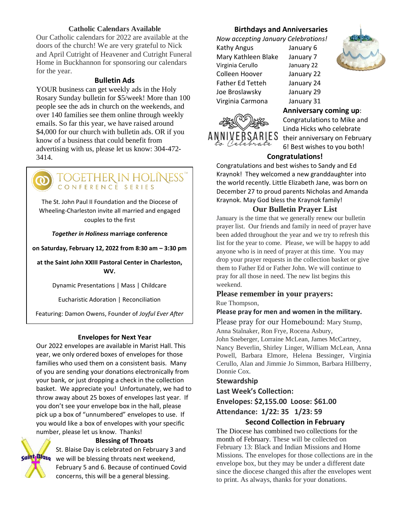#### **Catholic Calendars Available**

Our Catholic calendars for 2022 are available at the doors of the church! We are very grateful to Nick and April Cutright of Heavener and Cutright Funeral Home in Buckhannon for sponsoring our calendars for the year.

#### **Bulletin Ads**

YOUR business can get weekly ads in the Holy Rosary Sunday bulletin for \$5/week! More than 100 people see the ads in church on the weekends, and over 140 families see them online through weekly emails. So far this year, we have raised around \$4,000 for our church with bulletin ads. OR if you know of a business that could benefit from advertising with us, please let us know: 304-472- 3414.



The St. John Paul II Foundation and the Diocese of Wheeling-Charleston invite all married and engaged couples to the first

#### *Together in Holiness* **marriage conference**

**on Saturday, February 12, 2022 from 8:30 am – 3:30 pm**

**at the Saint John XXIII Pastoral Center in Charleston, WV.**

Dynamic Presentations | Mass | Childcare

Eucharistic Adoration | Reconciliation

Featuring: Damon Owens, Founder of *Joyful Ever After*

#### **Envelopes for Next Year**

Our 2022 envelopes are available in Marist Hall. This Early Bird discount available through January 10. year, we only ordered boxes of envelopes for those families who used them on a consistent basis. Many of you are sending your donations electronically from your bank, or just dropping a check in the collection basket. We appreciate you! Unfortunately, we had to throw away about 25 boxes of envelopes last year. If you don't see your envelope box in the hall, please pick up a box of "unnumbered" envelopes to use. If **michelle@forlifeandfamily.org**. you would like a box of envelopes with your specific number, please let us know. Thanks!



#### **Blessing of Throats**

St. Blaise Day is celebrated on February 3 and **saint<sub>i</sub>Blase** we will be blessing throats next weekend, February 5 and 6. Because of continued Covid concerns, this will be a general blessing.

#### **Birthdays and Anniversaries**

*Now accepting January Celebrations!*

Kathy Angus January 6 Mary Kathleen Blake January 7 Virginia Cerullo January 22 Colleen Hoover January 22 Father Ed Tetteh January 24 Joe Broslawsky January 29 Virginia Carmona January 31



**Anniversary coming up**:

Congratulations to Mike and Linda Hicks who celebrate their anniversary on February 6! Best wishes to you both!

#### **Congratulations!**

Congratulations and best wishes to Sandy and Ed Kraynok! They welcomed a new granddaughter into the world recently. Little Elizabeth Jane, was born on December 27 to proud parents Nicholas and Amanda Kraynok. May God bless the Kraynok family!

#### **Our Bulletin Prayer List**

January is the time that we generally renew our bulletin prayer list. Our friends and family in need of prayer have been added throughout the year and we try to refresh this list for the year to come. Please, we will be happy to add anyone who is in need of prayer at this time. You may drop your prayer requests in the collection basket or give them to Father Ed or Father John. We will continue to pray for all those in need. The new list begins this weekend.

#### **Please remember in your prayers:**

Rue Thompson,

**Please pray for men and women in the military.**

Please pray for our Homebound: Mary Stump,

Anna Stalnaker, Ron Frye, Rocena Asbury,

John Sneberger, Lorraine McLean, James McCartney, Nancy Beverlin, Shirley Linger, William McLean, Anna Powell, Barbara Elmore, Helena Bessinger, Virginia Cerullo, Alan and Jimmie Jo Simmon, Barbara Hillberry, Donnie Cox.

#### **Stewardship**

**Last Week's Collection:**

**Envelopes: \$2,155.00 Loose: \$61.00 Attendance: 1/22: 35 1/23: 59**

#### **Second Collection in February**

The Diocese has combined two collections for the month of February. These will be collected on February 13: Black and Indian Missions and Home Missions. The envelopes for those collections are in the envelope box, but they may be under a different date since the diocese changed this after the envelopes went to print. As always, thanks for your donations.